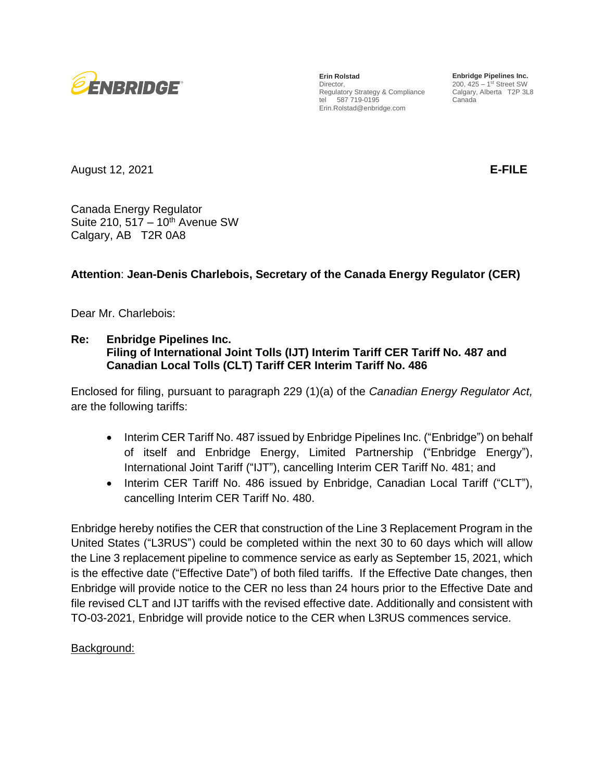

**Erin Rolstad** Director, Regulatory Strategy & Compliance tel 587 719-0195 Erin.Rolstad@enbridge.com

**Enbridge Pipelines Inc.**  200, 425 - 1<sup>st</sup> Street SW Calgary, Alberta T2P 3L8 Canada

August 12, 2021 **E-FILE**

Canada Energy Regulator Suite 210,  $517 - 10$ <sup>th</sup> Avenue SW Calgary, AB T2R 0A8

# **Attention**: **Jean-Denis Charlebois, Secretary of the Canada Energy Regulator (CER)**

Dear Mr. Charlebois:

#### **Re: Enbridge Pipelines Inc.**

## **Filing of International Joint Tolls (IJT) Interim Tariff CER Tariff No. 487 and Canadian Local Tolls (CLT) Tariff CER Interim Tariff No. 486**

Enclosed for filing, pursuant to paragraph 229 (1)(a) of the *Canadian Energy Regulator Act,* are the following tariffs:

- Interim CER Tariff No. 487 issued by Enbridge Pipelines Inc. ("Enbridge") on behalf of itself and Enbridge Energy, Limited Partnership ("Enbridge Energy"), International Joint Tariff ("IJT"), cancelling Interim CER Tariff No. 481; and
- Interim CER Tariff No. 486 issued by Enbridge, Canadian Local Tariff ("CLT"), cancelling Interim CER Tariff No. 480.

Enbridge hereby notifies the CER that construction of the Line 3 Replacement Program in the United States ("L3RUS") could be completed within the next 30 to 60 days which will allow the Line 3 replacement pipeline to commence service as early as September 15, 2021, which is the effective date ("Effective Date") of both filed tariffs. If the Effective Date changes, then Enbridge will provide notice to the CER no less than 24 hours prior to the Effective Date and file revised CLT and IJT tariffs with the revised effective date. Additionally and consistent with TO-03-2021, Enbridge will provide notice to the CER when L3RUS commences service.

#### Background: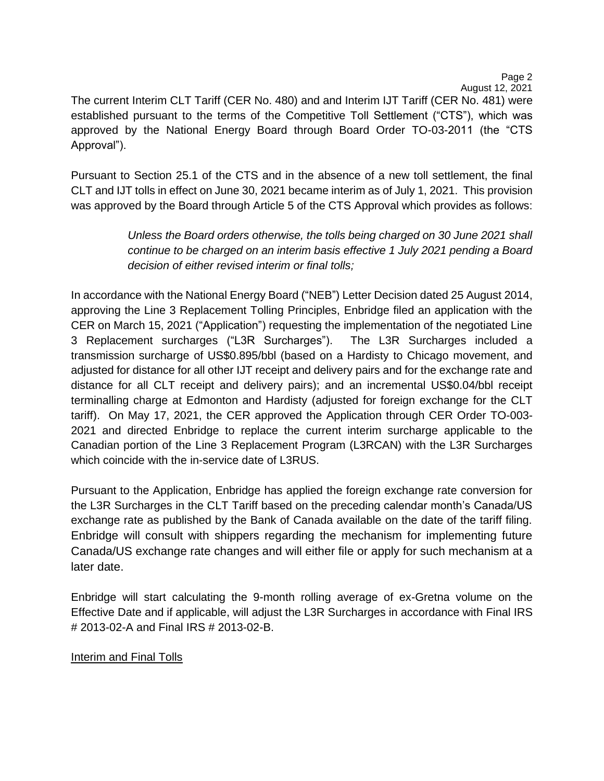Page 2

August 12, 2021

The current Interim CLT Tariff (CER No. 480) and and Interim IJT Tariff (CER No. 481) were established pursuant to the terms of the Competitive Toll Settlement ("CTS"), which was approved by the National Energy Board through Board Order TO-03-2011 (the "CTS Approval").

Pursuant to Section 25.1 of the CTS and in the absence of a new toll settlement, the final CLT and IJT tolls in effect on June 30, 2021 became interim as of July 1, 2021. This provision was approved by the Board through Article 5 of the CTS Approval which provides as follows:

> *Unless the Board orders otherwise, the tolls being charged on 30 June 2021 shall continue to be charged on an interim basis effective 1 July 2021 pending a Board decision of either revised interim or final tolls;*

In accordance with the National Energy Board ("NEB") Letter Decision dated 25 August 2014, approving the Line 3 Replacement Tolling Principles, Enbridge filed an application with the CER on March 15, 2021 ("Application") requesting the implementation of the negotiated Line 3 Replacement surcharges ("L3R Surcharges"). The L3R Surcharges included a transmission surcharge of US\$0.895/bbl (based on a Hardisty to Chicago movement, and adjusted for distance for all other IJT receipt and delivery pairs and for the exchange rate and distance for all CLT receipt and delivery pairs); and an incremental US\$0.04/bbl receipt terminalling charge at Edmonton and Hardisty (adjusted for foreign exchange for the CLT tariff). On May 17, 2021, the CER approved the Application through CER Order TO-003- 2021 and directed Enbridge to replace the current interim surcharge applicable to the Canadian portion of the Line 3 Replacement Program (L3RCAN) with the L3R Surcharges which coincide with the in-service date of L3RUS.

Pursuant to the Application, Enbridge has applied the foreign exchange rate conversion for the L3R Surcharges in the CLT Tariff based on the preceding calendar month's Canada/US exchange rate as published by the Bank of Canada available on the date of the tariff filing. Enbridge will consult with shippers regarding the mechanism for implementing future Canada/US exchange rate changes and will either file or apply for such mechanism at a later date.

Enbridge will start calculating the 9-month rolling average of ex-Gretna volume on the Effective Date and if applicable, will adjust the L3R Surcharges in accordance with Final IRS # 2013-02-A and Final IRS # 2013-02-B.

### Interim and Final Tolls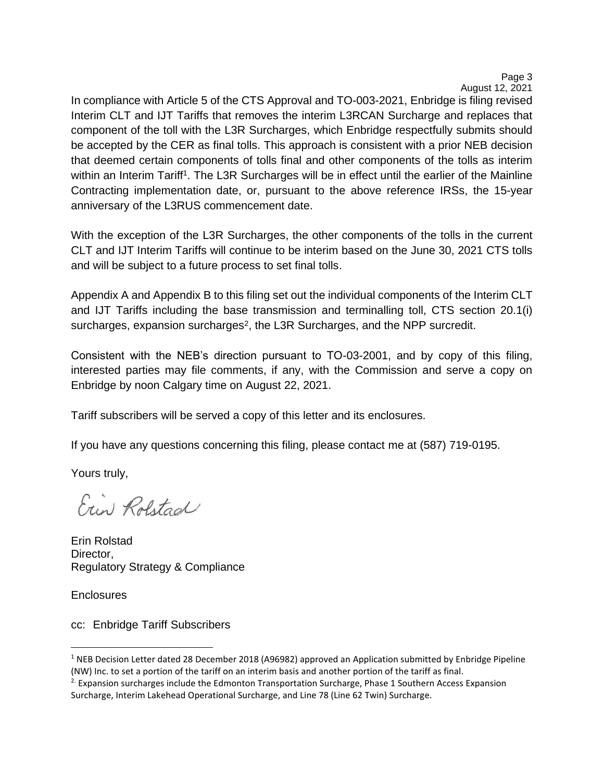Page 3

August 12, 2021

In compliance with Article 5 of the CTS Approval and TO-003-2021, Enbridge is filing revised Interim CLT and IJT Tariffs that removes the interim L3RCAN Surcharge and replaces that component of the toll with the L3R Surcharges, which Enbridge respectfully submits should be accepted by the CER as final tolls. This approach is consistent with a prior NEB decision that deemed certain components of tolls final and other components of the tolls as interim within an Interim Tariff<sup>1</sup>. The L3R Surcharges will be in effect until the earlier of the Mainline Contracting implementation date, or, pursuant to the above reference IRSs, the 15-year anniversary of the L3RUS commencement date.

With the exception of the L3R Surcharges, the other components of the tolls in the current CLT and IJT Interim Tariffs will continue to be interim based on the June 30, 2021 CTS tolls and will be subject to a future process to set final tolls.

Appendix A and Appendix B to this filing set out the individual components of the Interim CLT and IJT Tariffs including the base transmission and terminalling toll, CTS section 20.1(i) surcharges, expansion surcharges<sup>2</sup>, the L3R Surcharges, and the NPP surcredit.

Consistent with the NEB's direction pursuant to TO-03-2001, and by copy of this filing, interested parties may file comments, if any, with the Commission and serve a copy on Enbridge by noon Calgary time on August 22, 2021.

Tariff subscribers will be served a copy of this letter and its enclosures.

If you have any questions concerning this filing, please contact me at (587) 719-0195.

Yours truly,

Erin Rolstad

Erin Rolstad Director, Regulatory Strategy & Compliance

**Enclosures** 

cc: Enbridge Tariff Subscribers

 $1$  NEB Decision Letter dated 28 December 2018 (A96982) approved an Application submitted by Enbridge Pipeline (NW) Inc. to set a portion of the tariff on an interim basis and another portion of the tariff as final.

<sup>&</sup>lt;sup>2.</sup> Expansion surcharges include the Edmonton Transportation Surcharge, Phase 1 Southern Access Expansion Surcharge, Interim Lakehead Operational Surcharge, and Line 78 (Line 62 Twin) Surcharge.